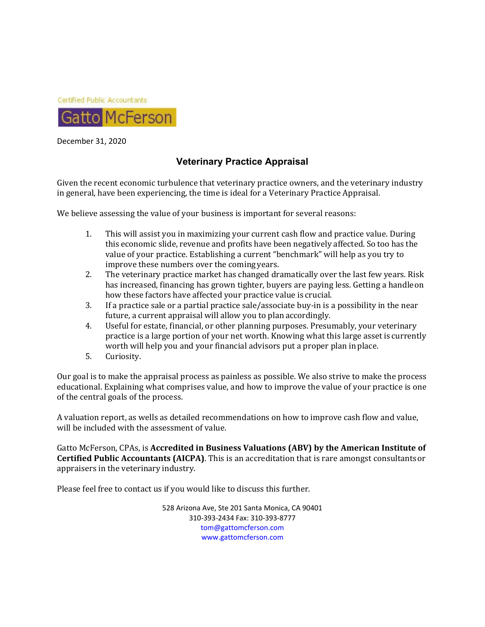

December 31, 2020

# **Veterinary Practice Appraisal**

Given the recent economic turbulence that veterinary practice owners, and the veterinary industry in general, have been experiencing, the time is ideal for a Veterinary Practice Appraisal.

We believe assessing the value of your business is important for several reasons:

- 1. This will assist you in maximizing your current cash flow and practice value. During this economic slide, revenue and profits have been negatively affected. So too has the value of your practice. Establishing a current "benchmark" will help as you try to improve these numbers over the coming years.
- 2. The veterinary practice market has changed dramatically over the last few years. Risk has increased, financing has grown tighter, buyers are paying less. Getting a handle on how these factors have affected your practice value is crucial.
- 3. If a practice sale or a partial practice sale/associate buy-in is a possibility in the near future, a current appraisal will allow you to plan accordingly.
- 4. Useful for estate, financial, or other planning purposes. Presumably, your veterinary practice is a large portion of your net worth. Knowing what this large asset is currently worth will help you and your financial advisors put a proper plan in place.
- 5. Curiosity.

Our goal is to make the appraisal process as painless as possible. We also strive to make the process educational. Explaining what comprises value, and how to improve the value of your practice is one of the central goals of the process.

A valuation report, as wells as detailed recommendations on how to improve cash flow and value, will be included with the assessment of value.

Gatto McFerson, CPAs, is **Accredited in Business Valuations (ABV) by the American Institute of Certified Public Accountants (AICPA)**. This is an accreditation that is rare amongst consultants or appraisers in the veterinary industry.

Please feel free to contact us if you would like to discuss this further.

528 Arizona Ave, Ste 201 Santa Monica, CA 90401 310‐393‐2434 Fax: 310‐393‐8777 tom@gattomcferson.com www.gattomcferson.com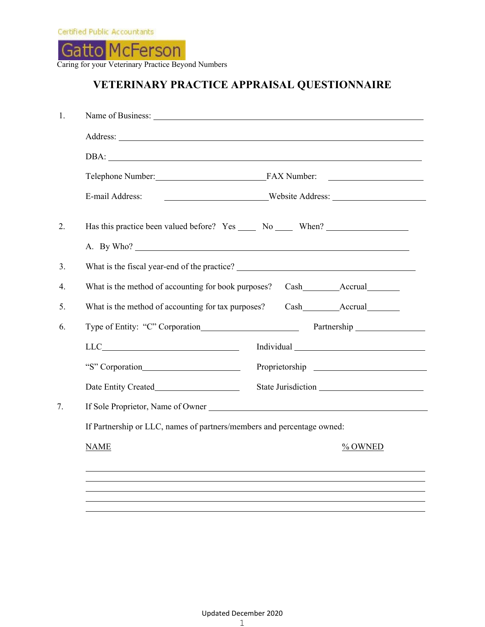

Caring for your Veterinary Practice Beyond Numbers

# **VETERINARY PRACTICE APPRAISAL QUESTIONNAIRE**

| E-mail Address:                                                                                                                                                                                                                                                                                                                                                                             | Mebsite Address: |
|---------------------------------------------------------------------------------------------------------------------------------------------------------------------------------------------------------------------------------------------------------------------------------------------------------------------------------------------------------------------------------------------|------------------|
| Has this practice been valued before? Yes ______ No ______ When? ________________                                                                                                                                                                                                                                                                                                           |                  |
| A. By Who?                                                                                                                                                                                                                                                                                                                                                                                  |                  |
| What is the fiscal year-end of the practice?                                                                                                                                                                                                                                                                                                                                                |                  |
| What is the method of accounting for book purposes?                                                                                                                                                                                                                                                                                                                                         |                  |
| What is the method of accounting for tax purposes?                                                                                                                                                                                                                                                                                                                                          | Cash Accrual     |
| Type of Entity: "C" Corporation                                                                                                                                                                                                                                                                                                                                                             |                  |
| $\begin{picture}(150,10) \put(0,0){\dashbox{0.5}(10,0){ }} \put(15,0){\circle{10}} \put(15,0){\circle{10}} \put(15,0){\circle{10}} \put(15,0){\circle{10}} \put(15,0){\circle{10}} \put(15,0){\circle{10}} \put(15,0){\circle{10}} \put(15,0){\circle{10}} \put(15,0){\circle{10}} \put(15,0){\circle{10}} \put(15,0){\circle{10}} \put(15,0){\circle{10}} \put(15,0){\circle{10}} \put(15$ |                  |
|                                                                                                                                                                                                                                                                                                                                                                                             |                  |
|                                                                                                                                                                                                                                                                                                                                                                                             |                  |
|                                                                                                                                                                                                                                                                                                                                                                                             |                  |
| If Partnership or LLC, names of partners/members and percentage owned:                                                                                                                                                                                                                                                                                                                      |                  |
| <b>NAME</b>                                                                                                                                                                                                                                                                                                                                                                                 | % OWNED          |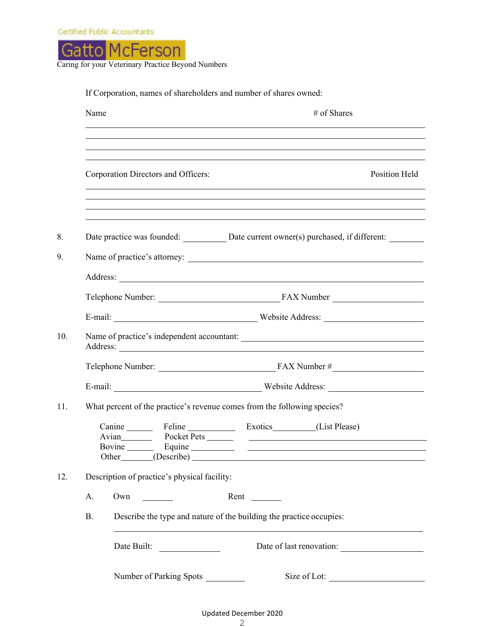

|                                                                                                      | # of Shares<br>and the control of the control of the control of the control of the control of the control of the control of the                                                       |
|------------------------------------------------------------------------------------------------------|---------------------------------------------------------------------------------------------------------------------------------------------------------------------------------------|
| Corporation Directors and Officers:                                                                  | ,我们也不能在这里的时候,我们也不能在这里的时候,我们也不能不能不能不能不能不能不能不能不能不能。""我们的人,我们也不能不能不能不能不能不能不能不能不能不能不<br>Position Held<br>,我们也不会有什么。""我们的人,我们也不会有什么?""我们的人,我们也不会有什么?""我们的人,我们也不会有什么?""我们的人,我们也不会有什么?""我们的人 |
|                                                                                                      | ,我们也不能会有一个人的事情。""我们的人,我们也不能会有一个人的人,我们也不能会有一个人的人,我们也不能会有一个人的人。""我们的人,我们也不能会有一个人的人<br>Date practice was founded: Date current owner(s) purchased, if different: _______                 |
|                                                                                                      |                                                                                                                                                                                       |
|                                                                                                      |                                                                                                                                                                                       |
|                                                                                                      |                                                                                                                                                                                       |
|                                                                                                      | Name of practice's independent accountant:                                                                                                                                            |
|                                                                                                      |                                                                                                                                                                                       |
|                                                                                                      |                                                                                                                                                                                       |
|                                                                                                      | What percent of the practice's revenue comes from the following species?                                                                                                              |
|                                                                                                      |                                                                                                                                                                                       |
|                                                                                                      | Canine Feline Exotics (List Please)                                                                                                                                                   |
| Description of practice's physical facility:                                                         |                                                                                                                                                                                       |
| Own<br>А.<br>$\mathcal{L}^{\text{max}}_{\text{max}}$ , where $\mathcal{L}^{\text{max}}_{\text{max}}$ |                                                                                                                                                                                       |
| <b>B.</b>                                                                                            | Describe the type and nature of the building the practice occupies:                                                                                                                   |
| Date Built:                                                                                          | Other (Describe) (Describe)                                                                                                                                                           |

Updated December 2020 2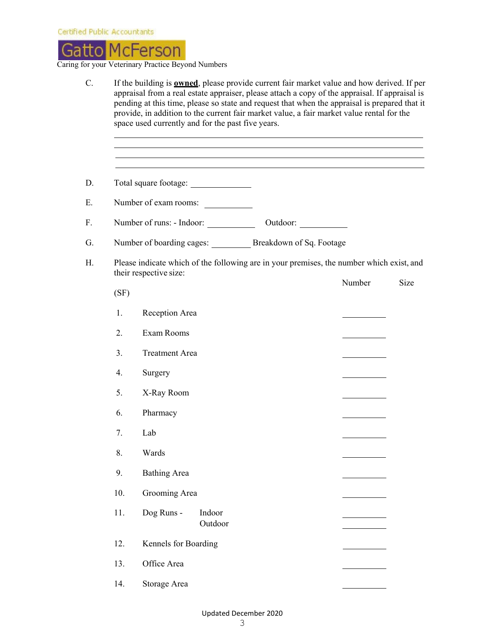

|      |                                                                                                                    | ,我们也不会有什么。""我们的人,我们也不会有什么?""我们的人,我们也不会有什么?""我们的人,我们的人,我们的人,我们的人,我们的人,我们的人,我们的人,我 |        |      |
|------|--------------------------------------------------------------------------------------------------------------------|----------------------------------------------------------------------------------|--------|------|
|      |                                                                                                                    |                                                                                  |        |      |
|      | Number of exam rooms:                                                                                              |                                                                                  |        |      |
|      |                                                                                                                    | Outdoor:                                                                         |        |      |
|      | Number of boarding cages: ________ Breakdown of Sq. Footage                                                        |                                                                                  |        |      |
| (SF) | Please indicate which of the following are in your premises, the number which exist, and<br>their respective size: |                                                                                  | Number | Size |
| 1.   | Reception Area                                                                                                     |                                                                                  |        |      |
| 2.   | Exam Rooms                                                                                                         |                                                                                  |        |      |
| 3.   | <b>Treatment Area</b>                                                                                              |                                                                                  |        |      |
| 4.   | Surgery                                                                                                            |                                                                                  |        |      |
| 5.   | X-Ray Room                                                                                                         |                                                                                  |        |      |
| 6.   | Pharmacy                                                                                                           |                                                                                  |        |      |
| 7.   | Lab                                                                                                                |                                                                                  |        |      |
| 8.   | Wards                                                                                                              |                                                                                  |        |      |
| 9.   | <b>Bathing Area</b>                                                                                                |                                                                                  |        |      |
| 10.  | Grooming Area                                                                                                      |                                                                                  |        |      |
| 11.  | Dog Runs -<br>Indoor<br>Outdoor                                                                                    |                                                                                  |        |      |
| 12.  | Kennels for Boarding                                                                                               |                                                                                  |        |      |
| 13.  | Office Area                                                                                                        |                                                                                  |        |      |
| 14.  | Storage Area                                                                                                       |                                                                                  |        |      |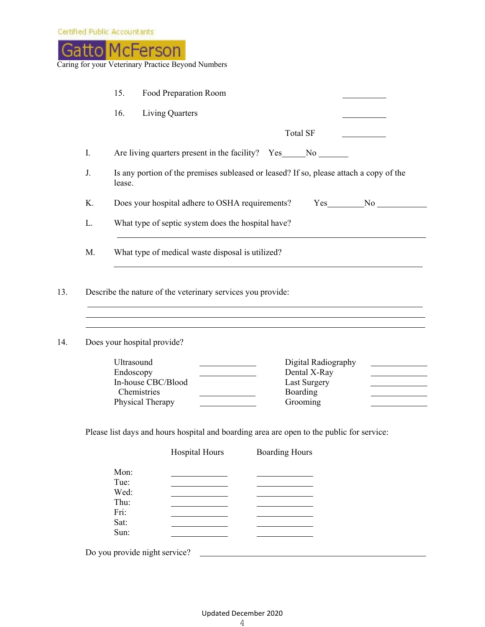

|    | 16.                               | <b>Living Quarters</b>                                                                                           |                          |           |
|----|-----------------------------------|------------------------------------------------------------------------------------------------------------------|--------------------------|-----------|
|    |                                   |                                                                                                                  | <b>Total SF</b>          |           |
| I. |                                   | Are living quarters present in the facility? Yes ________________________________                                |                          |           |
| J. | lease.                            | Is any portion of the premises subleased or leased? If so, please attach a copy of the                           |                          |           |
| K. |                                   | Does your hospital adhere to OSHA requirements?                                                                  |                          | $Yes_$ No |
| L. |                                   | What type of septic system does the hospital have?                                                               |                          |           |
|    |                                   |                                                                                                                  |                          |           |
| M. |                                   | What type of medical waste disposal is utilized?<br>Describe the nature of the veterinary services you provide:  |                          |           |
|    |                                   | and the control of the control of the control of the control of the control of the control of the control of the |                          |           |
|    | Does your hospital provide?       |                                                                                                                  |                          |           |
|    | Ultrasound                        |                                                                                                                  | Digital Radiography      |           |
|    | Endoscopy                         |                                                                                                                  | Dental X-Ray             |           |
|    | In-house CBC/Blood<br>Chemistries |                                                                                                                  | Last Surgery<br>Boarding |           |

| Mon: |  |  |
|------|--|--|
|      |  |  |
| Tue: |  |  |
| Wed: |  |  |
| Thu: |  |  |
| Fri: |  |  |
| Sat: |  |  |
| Sum: |  |  |
|      |  |  |

Do you provide night service?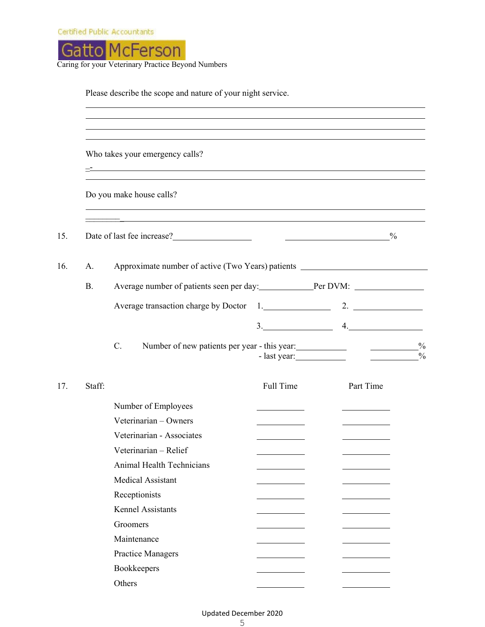

Caring for your Veterinary Practice Beyond Numbers

|           | Who takes your emergency calls?<br><u> 2001 - Jan James James James James James James James James James James James James James James James James J</u>                     |           |                                                                 |  |  |  |
|-----------|-----------------------------------------------------------------------------------------------------------------------------------------------------------------------------|-----------|-----------------------------------------------------------------|--|--|--|
|           | ,我们也不能在这里的时候,我们也不能在这里的时候,我们也不能会在这里的时候,我们也不能会在这里的时候,我们也不能会在这里的时候,我们也不能会在这里的时候,我们也<br>Do you make house calls?<br><u> 1989 - Johann Stoff, amerikansk politiker (d. 1989)</u> |           |                                                                 |  |  |  |
|           | Date of last fee increase?<br><u> Solution</u>                                                                                                                              |           |                                                                 |  |  |  |
| A.        | Approximate number of active (Two Years) patients _______________________________                                                                                           |           |                                                                 |  |  |  |
| <b>B.</b> |                                                                                                                                                                             |           |                                                                 |  |  |  |
|           |                                                                                                                                                                             |           |                                                                 |  |  |  |
|           |                                                                                                                                                                             |           | $\begin{array}{c c} \n3. & \phantom{2} \phantom{2} \end{array}$ |  |  |  |
|           | C.<br>Number of new patients per year - this year:                                                                                                                          |           |                                                                 |  |  |  |
|           |                                                                                                                                                                             |           |                                                                 |  |  |  |
| Staff:    |                                                                                                                                                                             | Full Time | Part Time                                                       |  |  |  |
|           | Number of Employees                                                                                                                                                         |           |                                                                 |  |  |  |
|           | Veterinarian - Owners                                                                                                                                                       |           |                                                                 |  |  |  |
|           | Veterinarian - Associates                                                                                                                                                   |           |                                                                 |  |  |  |
|           | Veterinarian - Relief                                                                                                                                                       |           |                                                                 |  |  |  |
|           | <b>Animal Health Technicians</b>                                                                                                                                            |           |                                                                 |  |  |  |
|           | <b>Medical Assistant</b>                                                                                                                                                    |           |                                                                 |  |  |  |
|           | Receptionists                                                                                                                                                               |           |                                                                 |  |  |  |
|           | <b>Kennel Assistants</b>                                                                                                                                                    |           |                                                                 |  |  |  |
|           | Groomers<br>Maintenance                                                                                                                                                     |           |                                                                 |  |  |  |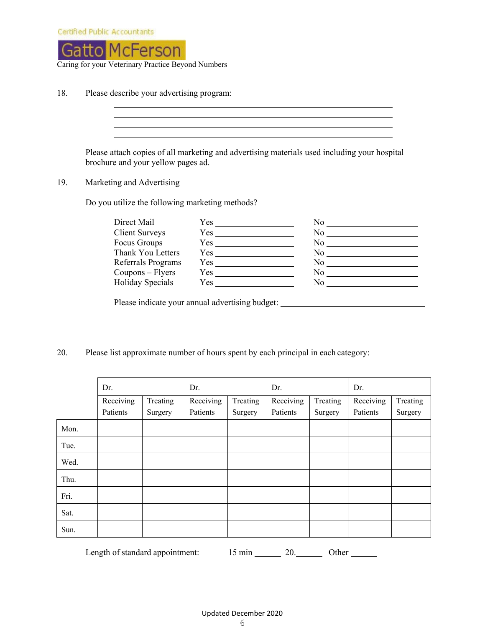

18. Please describe your advertising program:

Please attach copies of all marketing and advertising materials used including your hospital brochure and your yellow pages ad.

<u> 1989 - Johann Stoff, deutscher Stoffen und der Stoffen und der Stoffen und der Stoffen und der Stoffen und der</u> 

#### 19. Marketing and Advertising

Do you utilize the following marketing methods?

| Direct Mail           | Yes                                             | No         |
|-----------------------|-------------------------------------------------|------------|
| <b>Client Surveys</b> | Yes                                             | No r       |
| Focus Groups          |                                                 | No no      |
| Thank You Letters     | $Yes$ <sub>___________</sub>                    | No results |
| Referrals Programs    | Yes                                             | No -       |
| $Coupons - Flyers$    |                                                 | No.        |
| Holiday Specials      | $Yes \_\_$                                      | No         |
|                       |                                                 |            |
|                       | Please indicate your annual advertising budget: |            |

20. Please list approximate number of hours spent by each principal in each category:

|      | Dr.                   |                     | Dr.                   |                     | Dr.                   |                     | Dr.                   |                     |
|------|-----------------------|---------------------|-----------------------|---------------------|-----------------------|---------------------|-----------------------|---------------------|
|      | Receiving<br>Patients | Treating<br>Surgery | Receiving<br>Patients | Treating<br>Surgery | Receiving<br>Patients | Treating<br>Surgery | Receiving<br>Patients | Treating<br>Surgery |
| Mon. |                       |                     |                       |                     |                       |                     |                       |                     |
| Tue. |                       |                     |                       |                     |                       |                     |                       |                     |
| Wed. |                       |                     |                       |                     |                       |                     |                       |                     |
| Thu. |                       |                     |                       |                     |                       |                     |                       |                     |
| Fri. |                       |                     |                       |                     |                       |                     |                       |                     |
| Sat. |                       |                     |                       |                     |                       |                     |                       |                     |
| Sun. |                       |                     |                       |                     |                       |                     |                       |                     |
|      |                       |                     |                       |                     |                       |                     |                       |                     |

Length of standard appointment: 15 min 20. Other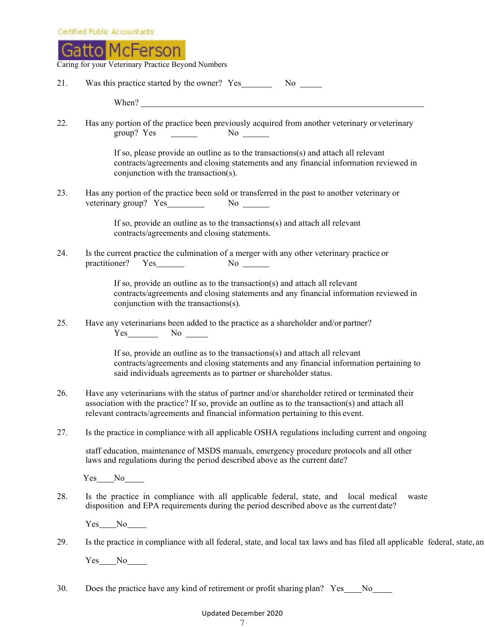

Caring for your Veterinary Practice Beyond Numbers

| 21. | Was this practice started by the owner? Yes No No                                                                                                                                                                                                                                                                     |
|-----|-----------------------------------------------------------------------------------------------------------------------------------------------------------------------------------------------------------------------------------------------------------------------------------------------------------------------|
|     | When? $\frac{1}{2}$ $\frac{1}{2}$ $\frac{1}{2}$ $\frac{1}{2}$ $\frac{1}{2}$ $\frac{1}{2}$ $\frac{1}{2}$ $\frac{1}{2}$ $\frac{1}{2}$ $\frac{1}{2}$ $\frac{1}{2}$ $\frac{1}{2}$ $\frac{1}{2}$ $\frac{1}{2}$ $\frac{1}{2}$ $\frac{1}{2}$ $\frac{1}{2}$ $\frac{1}{2}$ $\frac{1}{2}$ $\frac{1}{2}$ $\frac{1}{2}$ $\frac{1$ |
| 22. | Has any portion of the practice been previously acquired from another veterinary or veterinary<br>group? Yes $\qquad \qquad$ No $\qquad$                                                                                                                                                                              |
|     | If so, please provide an outline as to the transactions $(s)$ and attach all relevant<br>contracts/agreements and closing statements and any financial information reviewed in<br>conjunction with the transaction(s).                                                                                                |
| 23. | Has any portion of the practice been sold or transferred in the past to another veterinary or<br>veterinary group? Yes No No                                                                                                                                                                                          |
|     | If so, provide an outline as to the transactions(s) and attach all relevant<br>contracts/agreements and closing statements.                                                                                                                                                                                           |
| 24. | Is the current practice the culmination of a merger with any other veterinary practice or<br>$No \_\_$                                                                                                                                                                                                                |
|     | If so, provide an outline as to the transaction(s) and attach all relevant<br>contracts/agreements and closing statements and any financial information reviewed in<br>conjunction with the transactions(s).                                                                                                          |
| 25. | Have any veterinarians been added to the practice as a shareholder and/or partner?<br>$Yes$ No $No$                                                                                                                                                                                                                   |
|     | If so, provide an outline as to the transactions(s) and attach all relevant<br>contracts/agreements and closing statements and any financial information pertaining to<br>said individuals agreements as to partner or shareholder status.                                                                            |
| 26. | Have any veterinarians with the status of partner and/or shareholder retired or terminated their<br>association with the practice? If so, provide an outline as to the transaction(s) and attach all<br>relevant contracts/agreements and financial information pertaining to this event.                             |
| 27. | Is the practice in compliance with all applicable OSHA regulations including current and ongoing                                                                                                                                                                                                                      |
|     | staff education, maintenance of MSDS manuals, emergency procedure protocols and all other<br>laws and regulations during the period described above as the current date?                                                                                                                                              |
|     | $Yes$ No $N$                                                                                                                                                                                                                                                                                                          |
| 28. | Is the practice in compliance with all applicable federal, state, and local medical<br>waste<br>disposition and EPA requirements during the period described above as the current date?                                                                                                                               |
|     | $Yes$ No $\_\_$                                                                                                                                                                                                                                                                                                       |
| 29. | Is the practice in compliance with all federal, state, and local tax laws and has filed all applicable 1                                                                                                                                                                                                              |
|     | Yes No                                                                                                                                                                                                                                                                                                                |
| 30. | Does the practice have any kind of retirement or profit sharing plan? Yes_<br>No.                                                                                                                                                                                                                                     |

federal, state, an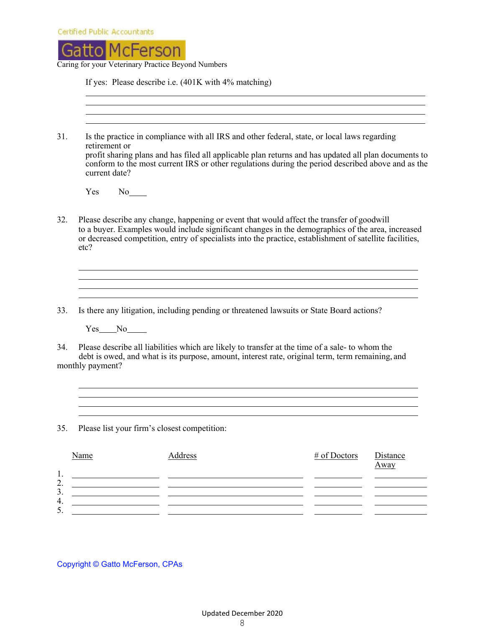| Certified Public Accountants |  |  |  |
|------------------------------|--|--|--|
|                              |  |  |  |
|                              |  |  |  |



If yes: Please describe i.e. (401K with 4% matching)

| 31.      | retirement or<br>current date?                                                                                                                                                                                                                                                                                     | Is the practice in compliance with all IRS and other federal, state, or local laws regarding<br>profit sharing plans and has filed all applicable plan returns and has updated all plan documents to<br>conform to the most current IRS or other regulations during the period described above and as the |              |                  |
|----------|--------------------------------------------------------------------------------------------------------------------------------------------------------------------------------------------------------------------------------------------------------------------------------------------------------------------|-----------------------------------------------------------------------------------------------------------------------------------------------------------------------------------------------------------------------------------------------------------------------------------------------------------|--------------|------------------|
|          | <b>Yes</b><br>$No$ <sub>____</sub>                                                                                                                                                                                                                                                                                 |                                                                                                                                                                                                                                                                                                           |              |                  |
| 32.      | Please describe any change, happening or event that would affect the transfer of goodwill<br>to a buyer. Examples would include significant changes in the demographics of the area, increased<br>or decreased competition, entry of specialists into the practice, establishment of satellite facilities,<br>etc? |                                                                                                                                                                                                                                                                                                           |              |                  |
|          |                                                                                                                                                                                                                                                                                                                    |                                                                                                                                                                                                                                                                                                           |              |                  |
| 33.      | Is there any litigation, including pending or threatened lawsuits or State Board actions?                                                                                                                                                                                                                          |                                                                                                                                                                                                                                                                                                           |              |                  |
|          | Yes No                                                                                                                                                                                                                                                                                                             |                                                                                                                                                                                                                                                                                                           |              |                  |
| 34.      | Please describe all liabilities which are likely to transfer at the time of a sale- to whom the<br>debt is owed, and what is its purpose, amount, interest rate, original term, term remaining, and<br>monthly payment?                                                                                            |                                                                                                                                                                                                                                                                                                           |              |                  |
|          |                                                                                                                                                                                                                                                                                                                    |                                                                                                                                                                                                                                                                                                           |              |                  |
| 35.      | Please list your firm's closest competition:                                                                                                                                                                                                                                                                       |                                                                                                                                                                                                                                                                                                           |              |                  |
| 1.       | Name                                                                                                                                                                                                                                                                                                               | <b>Address</b>                                                                                                                                                                                                                                                                                            | # of Doctors | Distance<br>Away |
| 2.<br>3. |                                                                                                                                                                                                                                                                                                                    |                                                                                                                                                                                                                                                                                                           |              |                  |
| 4.<br>5. |                                                                                                                                                                                                                                                                                                                    |                                                                                                                                                                                                                                                                                                           |              |                  |

Copyright © Gatto McFerson, CPAs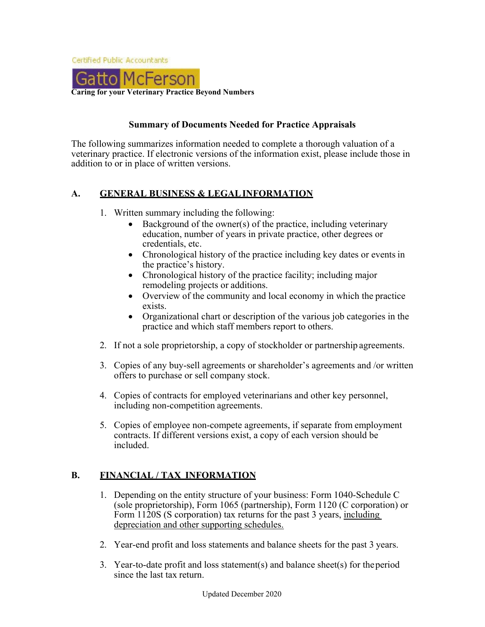

## **Summary of Documents Needed for Practice Appraisals**

The following summarizes information needed to complete a thorough valuation of a veterinary practice. If electronic versions of the information exist, please include those in addition to or in place of written versions.

## **A. GENERAL BUSINESS & LEGAL INFORMATION**

- 1. Written summary including the following:
	- Background of the owner(s) of the practice, including veterinary education, number of years in private practice, other degrees or credentials, etc.
	- Chronological history of the practice including key dates or events in the practice's history.
	- Chronological history of the practice facility; including major remodeling projects or additions.
	- Overview of the community and local economy in which the practice exists.
	- Organizational chart or description of the various job categories in the practice and which staff members report to others.
- 2. If not a sole proprietorship, a copy of stockholder or partnership agreements.
- 3. Copies of any buy-sell agreements or shareholder's agreements and /or written offers to purchase or sell company stock.
- 4. Copies of contracts for employed veterinarians and other key personnel, including non-competition agreements.
- 5. Copies of employee non-compete agreements, if separate from employment contracts. If different versions exist, a copy of each version should be included.

# **B. FINANCIAL / TAX INFORMATION**

- 1. Depending on the entity structure of your business: Form 1040-Schedule C (sole proprietorship), Form 1065 (partnership), Form 1120 (C corporation) or Form 1120S (S corporation) tax returns for the past 3 years, including depreciation and other supporting schedules.
- 2. Year-end profit and loss statements and balance sheets for the past 3 years.
- 3. Year-to-date profit and loss statement(s) and balance sheet(s) for the period since the last tax return.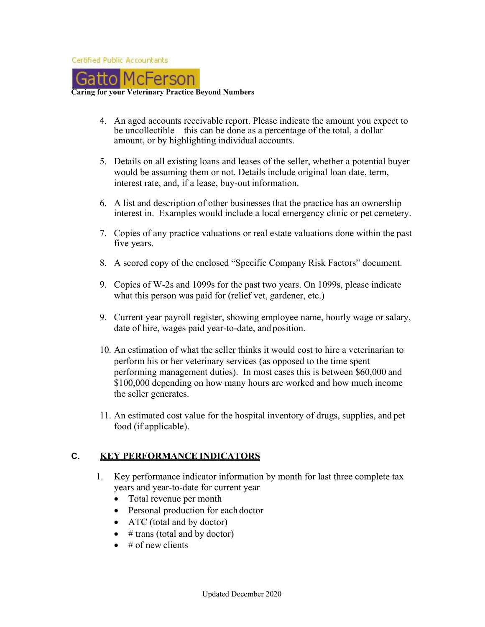

#### **Caring for your Veterinary Practice Beyond Numbers**

- 4. An aged accounts receivable report. Please indicate the amount you expect to be uncollectible—this can be done as a percentage of the total, a dollar amount, or by highlighting individual accounts.
- 5. Details on all existing loans and leases of the seller, whether a potential buyer would be assuming them or not. Details include original loan date, term, interest rate, and, if a lease, buy-out information.
- 6. A list and description of other businesses that the practice has an ownership interest in. Examples would include a local emergency clinic or pet cemetery.
- 7. Copies of any practice valuations or real estate valuations done within the past five years.
- 8. A scored copy of the enclosed "Specific Company Risk Factors" document.
- 9. Copies of W-2s and 1099s for the past two years. On 1099s, please indicate what this person was paid for (relief vet, gardener, etc.)
- 9. Current year payroll register, showing employee name, hourly wage or salary, date of hire, wages paid year-to-date, and position.
- 10. An estimation of what the seller thinks it would cost to hire a veterinarian to perform his or her veterinary services (as opposed to the time spent performing management duties). In most cases this is between \$60,000 and \$100,000 depending on how many hours are worked and how much income the seller generates.
- 11. An estimated cost value for the hospital inventory of drugs, supplies, and pet food (if applicable).

### **C. KEY PERFORMANCE INDICATORS**

- 1. Key performance indicator information by month for last three complete tax years and year-to-date for current year
	- Total revenue per month
	- Personal production for each doctor
	- ATC (total and by doctor)
	- $\bullet$  # trans (total and by doctor)
	- $\bullet$  # of new clients